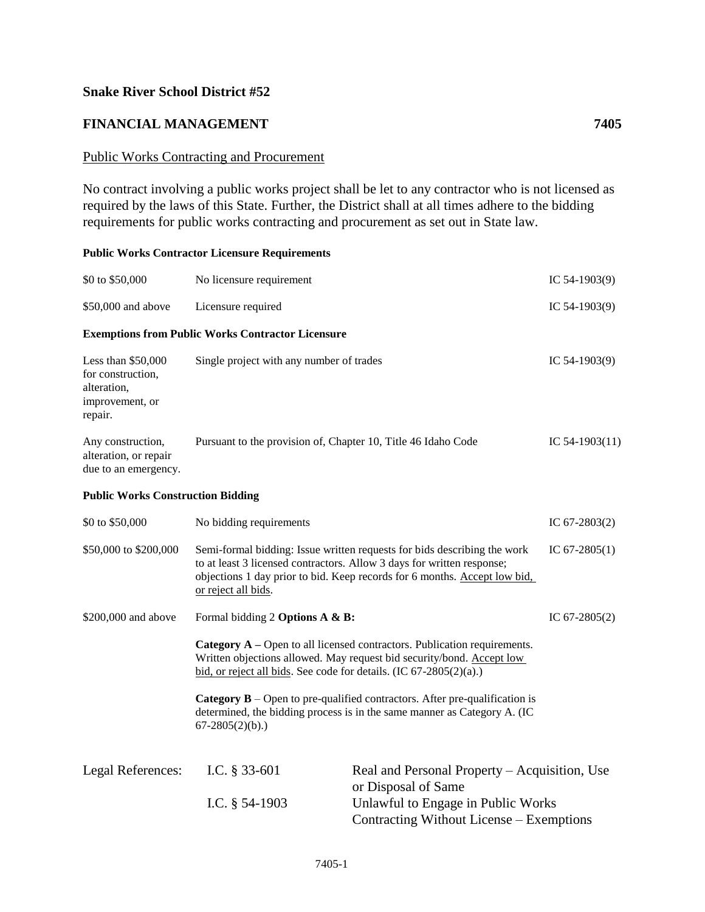## **Snake River School District #52**

## **FINANCIAL MANAGEMENT 7405**

## Public Works Contracting and Procurement

No contract involving a public works project shall be let to any contractor who is not licensed as required by the laws of this State. Further, the District shall at all times adhere to the bidding requirements for public works contracting and procurement as set out in State law.

## **Public Works Contractor Licensure Requirements**

| \$0 to \$50,000                                                                      | No licensure requirement                                                                                                                                                                                                                                                  |                                                                                | IC $54-1903(9)$  |  |
|--------------------------------------------------------------------------------------|---------------------------------------------------------------------------------------------------------------------------------------------------------------------------------------------------------------------------------------------------------------------------|--------------------------------------------------------------------------------|------------------|--|
| \$50,000 and above                                                                   | Licensure required                                                                                                                                                                                                                                                        |                                                                                | IC $54-1903(9)$  |  |
|                                                                                      | <b>Exemptions from Public Works Contractor Licensure</b>                                                                                                                                                                                                                  |                                                                                |                  |  |
| Less than \$50,000<br>for construction,<br>alteration,<br>improvement, or<br>repair. | Single project with any number of trades                                                                                                                                                                                                                                  |                                                                                | IC $54-1903(9)$  |  |
| Any construction,<br>alteration, or repair<br>due to an emergency.                   | Pursuant to the provision of, Chapter 10, Title 46 Idaho Code                                                                                                                                                                                                             |                                                                                | IC $54-1903(11)$ |  |
| <b>Public Works Construction Bidding</b>                                             |                                                                                                                                                                                                                                                                           |                                                                                |                  |  |
| \$0 to \$50,000                                                                      | No bidding requirements                                                                                                                                                                                                                                                   |                                                                                | IC $67-2803(2)$  |  |
| \$50,000 to \$200,000                                                                | Semi-formal bidding: Issue written requests for bids describing the work<br>IC $67-2805(1)$<br>to at least 3 licensed contractors. Allow 3 days for written response;<br>objections 1 day prior to bid. Keep records for 6 months. Accept low bid,<br>or reject all bids. |                                                                                |                  |  |
| \$200,000 and above                                                                  | Formal bidding 2 Options A & B:                                                                                                                                                                                                                                           |                                                                                | IC $67-2805(2)$  |  |
|                                                                                      | Category A – Open to all licensed contractors. Publication requirements.<br>Written objections allowed. May request bid security/bond. Accept low<br>bid, or reject all bids. See code for details. $(IC 67-2805(2)(a))$                                                  |                                                                                |                  |  |
|                                                                                      | <b>Category B</b> – Open to pre-qualified contractors. After pre-qualification is<br>determined, the bidding process is in the same manner as Category A. (IC<br>$67-2805(2)(b)$ .)                                                                                       |                                                                                |                  |  |
| <b>Legal References:</b>                                                             | I.C. § 33-601                                                                                                                                                                                                                                                             | Real and Personal Property – Acquisition, Use<br>or Disposal of Same           |                  |  |
|                                                                                      | I.C. $§$ 54-1903                                                                                                                                                                                                                                                          | Unlawful to Engage in Public Works<br>Contracting Without License - Exemptions |                  |  |